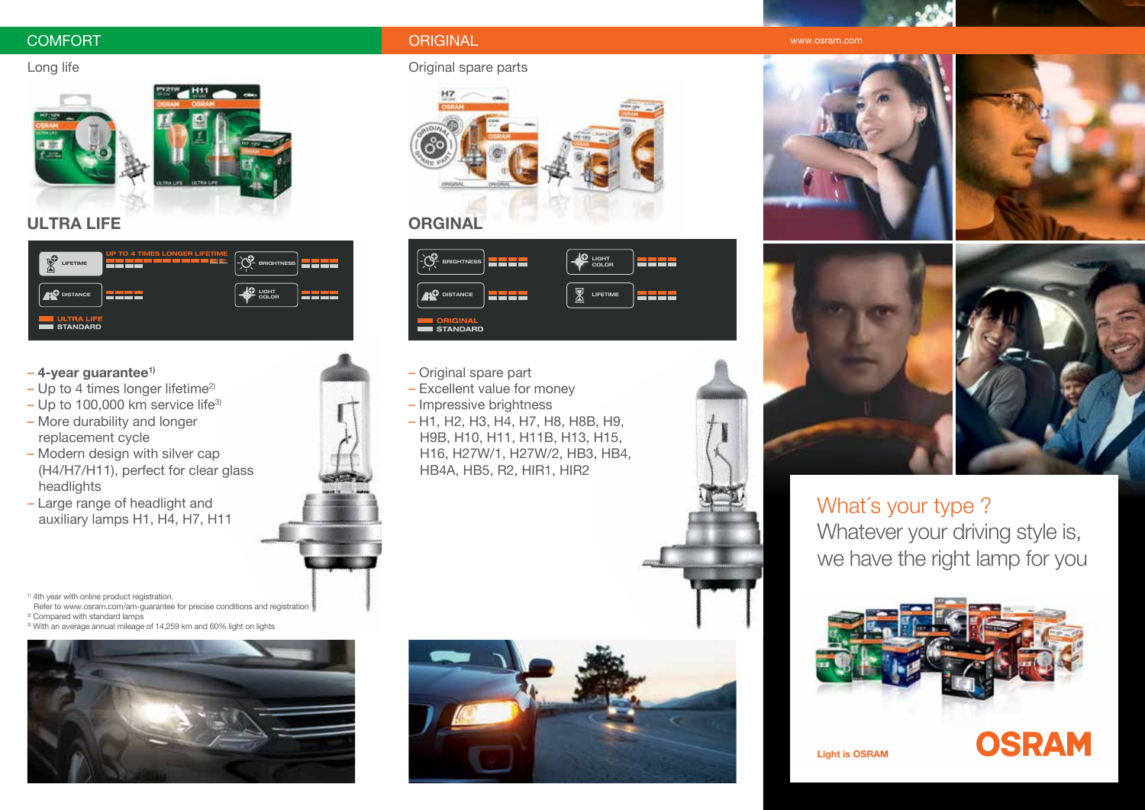### COMFORT ORIGINAL www.osram.com



# **ULTRA LIFE ORGINAL**



### – **4-year guarantee1)**

- $-$  Up to 4 times longer lifetime<sup>2)</sup>
- $-$  Up to 100,000 km service life<sup>3)</sup>
- More durability and longer replacement cycle
- Modern design with silver cap (H4/H7/H11), perfect for clear glass headlights
- Large range of headlight and auxiliary lamps H1, H4, H7, H11

<sup>1)</sup> 4th year with online product registration.

Refer to www.osram.com/am-quarantee for precise conditions and registration

- 2) Compared with standard lamps
- 3) With an average annual mileage of 14,259 km and 60% light on lights



### Long life **Contract Contract Contract Contract Contract Contract Contract Contract Contract Contract Contract Contract Contract Contract Contract Contract Contract Contract Contract Contract Contract Contract Contract Cont**





- Original spare part
- Excellent value for money
- Impressive brightness
- H1, H2, H3, H4, H7, H8, H8B, H9, H9B, H10, H11, H11B, H13, H15, H16, H27W/1, H27W/2, HB3, HB4, HB4A, HB5, R2, HIR1, HIR2













**OSRAM** 

# What's your type? Whatever your driving style is, we have the right lamp for you